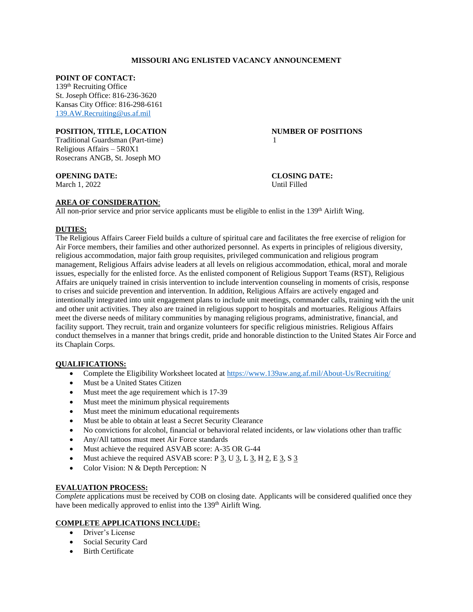# **MISSOURI ANG ENLISTED VACANCY ANNOUNCEMENT**

## **POINT OF CONTACT:**

139th Recruiting Office St. Joseph Office: 816-236-3620 Kansas City Office: 816-298-6161 [139.AW.Recruiting@us.af.mil](mailto:139.AW.Recruiting@us.af.mil)

## **POSITION, TITLE, LOCATION NUMBER OF POSITIONS**

Traditional Guardsman (Part-time) 1 Religious Affairs – 5R0X1 Rosecrans ANGB, St. Joseph MO

March 1, 2022 Until Filled

**OPENING DATE: CLOSING DATE:**

# **AREA OF CONSIDERATION**:

All non-prior service and prior service applicants must be eligible to enlist in the  $139<sup>th</sup>$  Airlift Wing.

# **DUTIES:**

The Religious Affairs Career Field builds a culture of spiritual care and facilitates the free exercise of religion for Air Force members, their families and other authorized personnel. As experts in principles of religious diversity, religious accommodation, major faith group requisites, privileged communication and religious program management, Religious Affairs advise leaders at all levels on religious accommodation, ethical, moral and morale issues, especially for the enlisted force. As the enlisted component of Religious Support Teams (RST), Religious Affairs are uniquely trained in crisis intervention to include intervention counseling in moments of crisis, response to crises and suicide prevention and intervention. In addition, Religious Affairs are actively engaged and intentionally integrated into unit engagement plans to include unit meetings, commander calls, training with the unit and other unit activities. They also are trained in religious support to hospitals and mortuaries. Religious Affairs meet the diverse needs of military communities by managing religious programs, administrative, financial, and facility support. They recruit, train and organize volunteers for specific religious ministries. Religious Affairs conduct themselves in a manner that brings credit, pride and honorable distinction to the United States Air Force and its Chaplain Corps.

# **QUALIFICATIONS:**

- Complete the Eligibility Worksheet located at<https://www.139aw.ang.af.mil/About-Us/Recruiting/>
- Must be a United States Citizen
- Must meet the age requirement which is 17-39
- Must meet the minimum physical requirements
- Must meet the minimum educational requirements
- Must be able to obtain at least a Secret Security Clearance
- No convictions for alcohol, financial or behavioral related incidents, or law violations other than traffic
- Any/All tattoos must meet Air Force standards
- Must achieve the required ASVAB score: A-35 OR G-44
- Must achieve the required ASVAB score:  $P \underline{3}$ , U $\underline{3}$ , L $\underline{3}$ , H $\underline{2}$ , E $\underline{3}$ , S $\underline{3}$
- Color Vision: N & Depth Perception: N

## **EVALUATION PROCESS:**

*Complete* applications must be received by COB on closing date. Applicants will be considered qualified once they have been medically approved to enlist into the 139<sup>th</sup> Airlift Wing.

# **COMPLETE APPLICATIONS INCLUDE:**

- Driver's License
- Social Security Card
- Birth Certificate